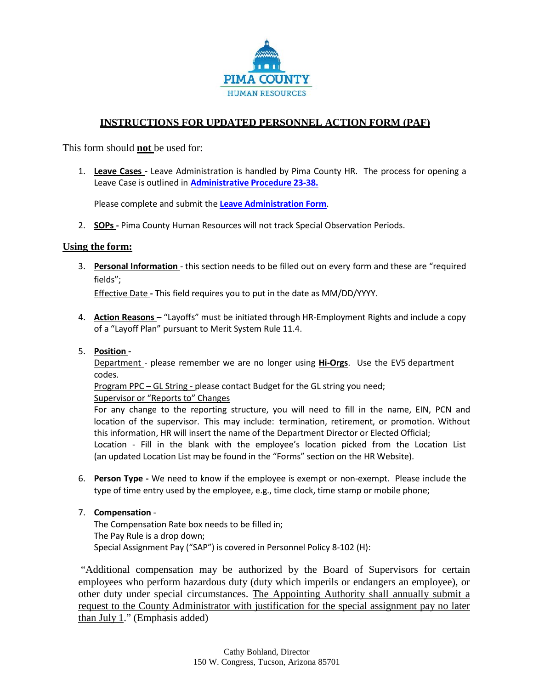

## **INSTRUCTIONS FOR UPDATED PERSONNEL ACTION FORM (PAF)**

This form should **not** be used for:

1. **Leave Cases -** Leave Administration is handled by Pima County HR. The process for opening a Leave Case is outlined in **[Administrative Procedure](http://webcms.pima.gov/UserFiles/Servers/Server_6/File/Government/Administration/Administrative%20Procedures/23-38%20Leave%20Administration%20(02-11-2015).pdf) 23-38.**

Please complete and submit the **[Leave Administration Form](http://webcms.pima.gov/UserFiles/Servers/Server_6/File/Government/Human%20Resources/FMLA/Forms/Leave%20Administration%20Form.pdf)**.

2. **SOPs -** Pima County Human Resources will not track Special Observation Periods.

## **Using the form:**

3. **Personal Information** - this section needs to be filled out on every form and these are "required fields";

Effective Date **- T**his field requires you to put in the date as MM/DD/YYYY.

4. **Action Reasons –** "Layoffs" must be initiated through HR-Employment Rights and include a copy of a "Layoff Plan" pursuant to Merit System Rule 11.4.

## 5. **Position -**

Department - please remember we are no longer using **Hi-Orgs**. Use the EV5 department codes.

Program PPC – GL String - please contact Budget for the GL string you need; Supervisor or "Reports to" Changes

For any change to the reporting structure, you will need to fill in the name, EIN, PCN and location of the supervisor. This may include: termination, retirement, or promotion. Without this information, HR will insert the name of the Department Director or Elected Official; Location - Fill in the blank with the employee's location picked from the Location List (an updated Location List may be found in the "Forms" section on the HR Website).

6. **Person Type -** We need to know if the employee is exempt or non-exempt. Please include the type of time entry used by the employee, e.g., time clock, time stamp or mobile phone;

## 7. **Compensation** -

The Compensation Rate box needs to be filled in; The Pay Rule is a drop down; Special Assignment Pay ("SAP") is covered in Personnel Policy 8-102 (H):

"Additional compensation may be authorized by the Board of Supervisors for certain employees who perform hazardous duty (duty which imperils or endangers an employee), or other duty under special circumstances. The Appointing Authority shall annually submit a request to the County Administrator with justification for the special assignment pay no later than July 1." (Emphasis added)